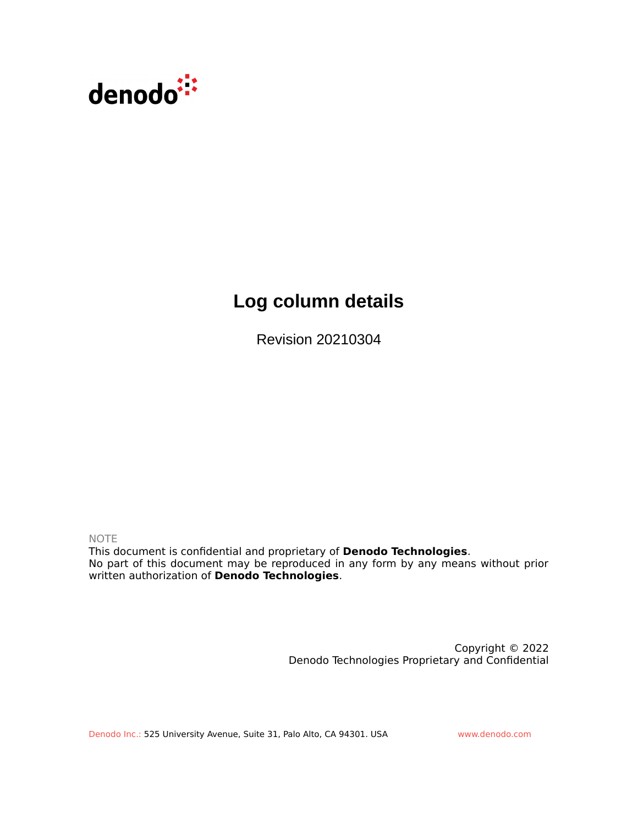

# **Log column details**

Revision 20210304

NOTE

This document is confidential and proprietary of **Denodo Technologies**. No part of this document may be reproduced in any form by any means without prior written authorization of **Denodo Technologies**.

> Copyright © 2022 Denodo Technologies Proprietary and Confidential

Denodo Inc.: 525 University Avenue, Suite 31, Palo Alto, CA 94301. USA www.denodo.com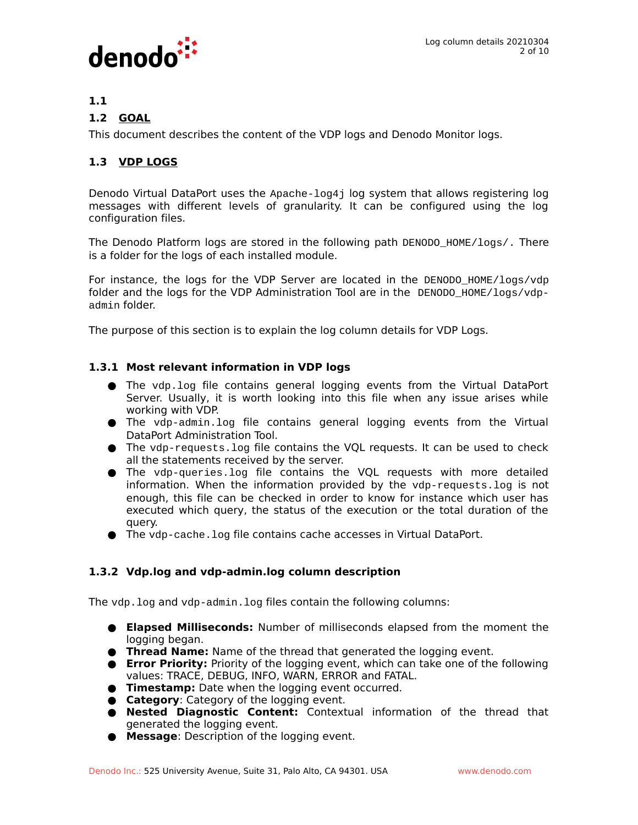

# **1.1**

## **1.2 GOAL**

This document describes the content of the VDP logs and Denodo Monitor logs.

# **1.3 VDP LOGS**

Denodo Virtual DataPort uses the Apache-log4j log system that allows registering log messages with different levels of granularity. It can be configured using the log configuration files.

The Denodo Platform logs are stored in the following path DENODO\_HOME/logs/. There is a folder for the logs of each installed module.

For instance, the logs for the VDP Server are located in the DENODO\_HOME/logs/vdp folder and the logs for the VDP Administration Tool are in the DENODO\_HOME/logs/vdpadmin folder.

The purpose of this section is to explain the log column details for VDP Logs.

#### **1.3.1 Most relevant information in VDP logs**

- The vdp.log file contains general logging events from the Virtual DataPort Server. Usually, it is worth looking into this file when any issue arises while working with VDP.
- The vdp-admin.log file contains general logging events from the Virtual DataPort Administration Tool.
- The vdp-requests.log file contains the VQL requests. It can be used to check all the statements received by the server.
- The vdp-queries.log file contains the VQL requests with more detailed information. When the information provided by the vdp-requests.log is not enough, this file can be checked in order to know for instance which user has executed which query, the status of the execution or the total duration of the query.
- The vdp-cache. log file contains cache accesses in Virtual DataPort.

## **1.3.2 Vdp.log and vdp-admin.log column description**

The vdp.log and vdp-admin.log files contain the following columns:

- **● Elapsed Milliseconds:** Number of milliseconds elapsed from the moment the logging began.
- **● Thread Name:** Name of the thread that generated the logging event.
- **● Error Priority:** Priority of the logging event, which can take one of the following values: TRACE, DEBUG, INFO, WARN, ERROR and FATAL.
- **● Timestamp:** Date when the logging event occurred.
- **● Category**: Category of the logging event.
- **● Nested Diagnostic Content:** Contextual information of the thread that generated the logging event.
- **● Message**: Description of the logging event.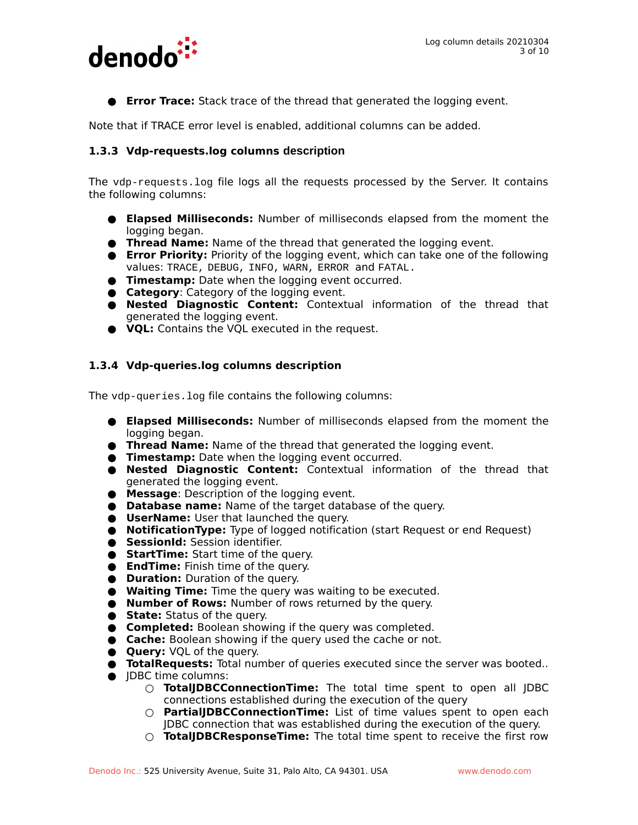

**● Error Trace:** Stack trace of the thread that generated the logging event.

Note that if TRACE error level is enabled, additional columns can be added.

#### **1.3.3 Vdp-requests.log columns description**

The vdp-requests.log file logs all the requests processed by the Server. It contains the following columns:

- **● Elapsed Milliseconds:** Number of milliseconds elapsed from the moment the logging began.
- **● Thread Name:** Name of the thread that generated the logging event.
- **● Error Priority:** Priority of the logging event, which can take one of the following values: TRACE, DEBUG, INFO, WARN, ERROR and FATAL.
- **● Timestamp:** Date when the logging event occurred.
- **● Category**: Category of the logging event.
- **● Nested Diagnostic Content:** Contextual information of the thread that generated the logging event.
- **● VQL:** Contains the VQL executed in the request.

#### **1.3.4 Vdp-queries.log columns description**

The vdp-queries.log file contains the following columns:

- **● Elapsed Milliseconds:** Number of milliseconds elapsed from the moment the logging began.
- **● Thread Name:** Name of the thread that generated the logging event.
- **● Timestamp:** Date when the logging event occurred.
- **● Nested Diagnostic Content:** Contextual information of the thread that generated the logging event.
- **● Message**: Description of the logging event.
- **● Database name:** Name of the target database of the query.
- **● UserName:** User that launched the query.
- **● NotificationType:** Type of logged notification (start Request or end Request)
- **● SessionId:** Session identifier.
- **● StartTime:** Start time of the query.
- **● EndTime:** Finish time of the query.
- **● Duration:** Duration of the query.
- **● Waiting Time:** Time the query was waiting to be executed.
- **● Number of Rows:** Number of rows returned by the query.
- **● State:** Status of the query.
- **● Completed:** Boolean showing if the query was completed.
- **● Cache:** Boolean showing if the query used the cache or not.
- **● Query:** VQL of the query.
- **● TotalRequests:** Total number of queries executed since the server was booted..
- **●** JDBC time columns:
	- **○ TotalJDBCConnectionTime:** The total time spent to open all JDBC connections established during the execution of the query
	- **○ PartialJDBCConnectionTime:** List of time values spent to open each JDBC connection that was established during the execution of the query.
	- **○ TotalJDBCResponseTime:** The total time spent to receive the first row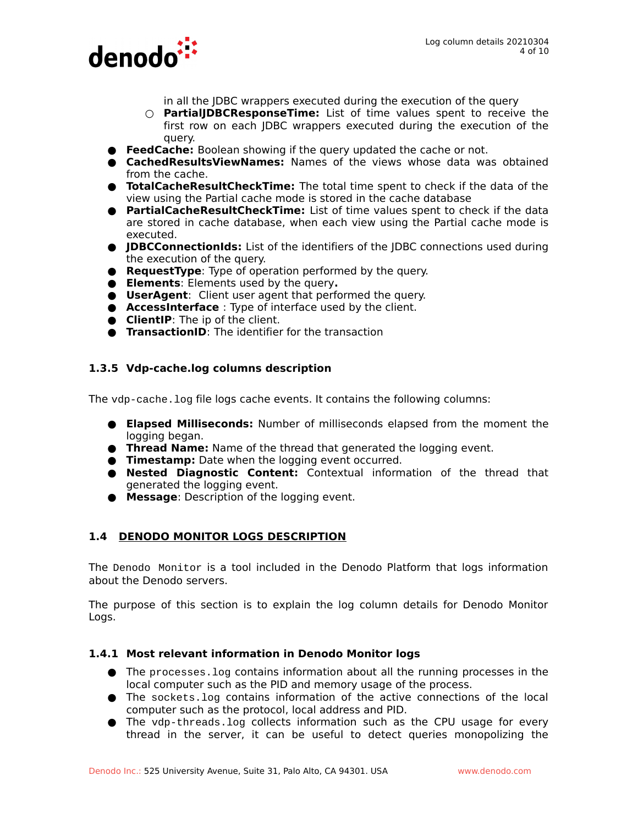

- in all the JDBC wrappers executed during the execution of the query
- **○ PartialJDBCResponseTime:** List of time values spent to receive the first row on each JDBC wrappers executed during the execution of the query.
- **● FeedCache:** Boolean showing if the query updated the cache or not.
- **● CachedResultsViewNames:** Names of the views whose data was obtained from the cache.
- **● TotalCacheResultCheckTime:** The total time spent to check if the data of the view using the Partial cache mode is stored in the cache database
- **● PartialCacheResultCheckTime:** List of time values spent to check if the data are stored in cache database, when each view using the Partial cache mode is executed.
- **● JDBCConnectionIds:** List of the identifiers of the JDBC connections used during the execution of the query.
- **● RequestType**: Type of operation performed by the query.
- **● Elements**: Elements used by the query**.**
- **● UserAgent**:Client user agent that performed the query.
- **● AccessInterface** : Type of interface used by the client.
- **● ClientIP**: The ip of the client.
- **● TransactionID**: The identifier for the transaction

## **1.3.5 Vdp-cache.log columns description**

The vdp-cache.log file logs cache events. It contains the following columns:

- **● Elapsed Milliseconds:** Number of milliseconds elapsed from the moment the logging began.
- **● Thread Name:** Name of the thread that generated the logging event.
- **● Timestamp:** Date when the logging event occurred.
- **● Nested Diagnostic Content:** Contextual information of the thread that generated the logging event.
- **● Message**: Description of the logging event.

## **1.4 DENODO MONITOR LOGS DESCRIPTION**

The Denodo Monitor is a tool included in the Denodo Platform that logs information about the Denodo servers.

The purpose of this section is to explain the log column details for Denodo Monitor Logs.

## **1.4.1 Most relevant information in Denodo Monitor logs**

- The processes.log contains information about all the running processes in the local computer such as the PID and memory usage of the process.
- The sockets.log contains information of the active connections of the local computer such as the protocol, local address and PID.
- The vdp-threads.log collects information such as the CPU usage for every thread in the server, it can be useful to detect queries monopolizing the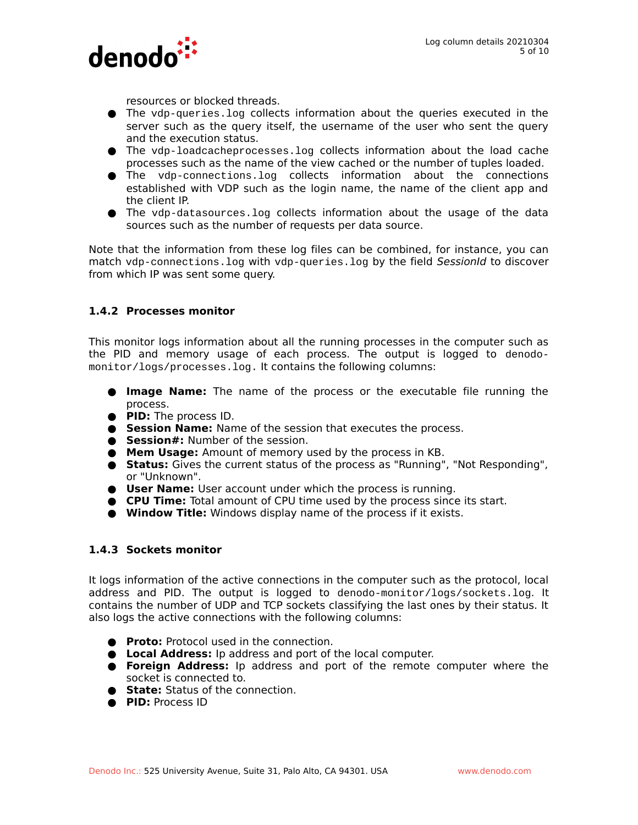

resources or blocked threads.

- The vdp-queries.log collects information about the queries executed in the server such as the query itself, the username of the user who sent the query and the execution status.
- The vdp-loadcacheprocesses.log collects information about the load cache processes such as the name of the view cached or the number of tuples loaded.
- The vdp-connections.log collects information about the connections established with VDP such as the login name, the name of the client app and the client IP.
- The vdp-datasources.log collects information about the usage of the data sources such as the number of requests per data source.

Note that the information from these log files can be combined, for instance, you can match vdp-connections. log with vdp-queries. log by the field SessionId to discover from which IP was sent some query.

#### **1.4.2 Processes monitor**

This monitor logs information about all the running processes in the computer such as the PID and memory usage of each process. The output is logged to denodomonitor/logs/processes.log. It contains the following columns:

- **● Image Name:** The name of the process or the executable file running the process.
- **● PID:** The process ID.
- **● Session Name:** Name of the session that executes the process.
- **● Session#:** Number of the session.
- **● Mem Usage:** Amount of memory used by the process in KB.
- **● Status:** Gives the current status of the process as "Running", "Not Responding", or "Unknown".
- **● User Name:** User account under which the process is running.
- **● CPU Time:** Total amount of CPU time used by the process since its start.
- **● Window Title:** Windows display name of the process if it exists.

#### **1.4.3 Sockets monitor**

It logs information of the active connections in the computer such as the protocol, local address and PID. The output is logged to denodo-monitor/logs/sockets.log. It contains the number of UDP and TCP sockets classifying the last ones by their status. It also logs the active connections with the following columns:

- **● Proto:** Protocol used in the connection.
- **● Local Address:** Ip address and port of the local computer.
- **● Foreign Address:** Ip address and port of the remote computer where the socket is connected to.
- **● State:** Status of the connection.
- **● PID:** Process ID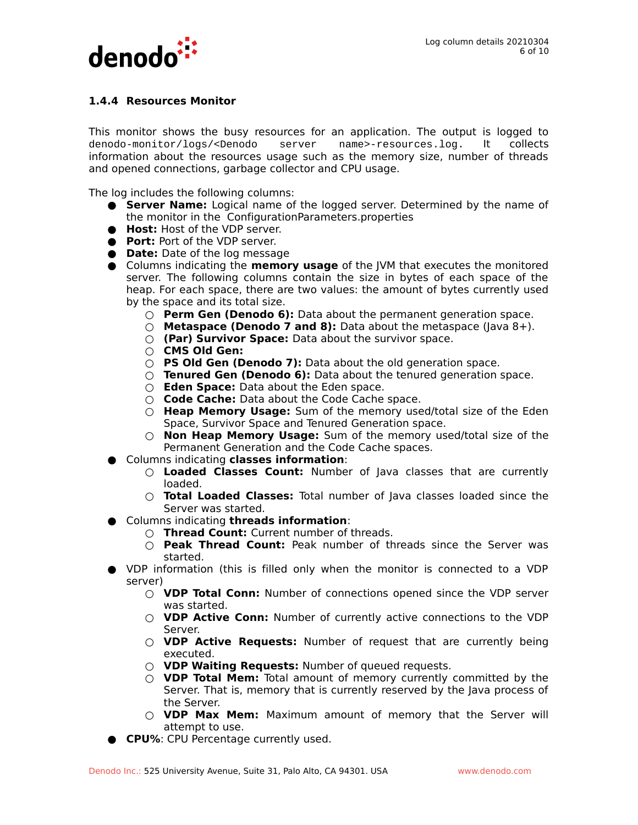

### **1.4.4 Resources Monitor**

This monitor shows the busy resources for an application. The output is logged to denodo-monitor/logs/<Denodo server name>-resources.log. It collects information about the resources usage such as the memory size, number of threads and opened connections, garbage collector and CPU usage.

The log includes the following columns:

- **● Server Name:** Logical name of the logged server. Determined by the name of the monitor in the ConfigurationParameters.properties
- **● Host:** Host of the VDP server.
- **● Port:** Port of the VDP server.
- **● Date:** Date of the log message
- **●** Columns indicating the **memory usage** of the JVM that executes the monitored server. The following columns contain the size in bytes of each space of the heap. For each space, there are two values: the amount of bytes currently used by the space and its total size.
	- **○ Perm Gen (Denodo 6):** Data about the permanent generation space.
	- **○ Metaspace (Denodo 7 and 8):** Data about the metaspace (Java 8+).
	- **○ (Par) Survivor Space:** Data about the survivor space.
	- **○ CMS Old Gen:**
	- **○ PS Old Gen (Denodo 7):** Data about the old generation space.
	- **○ Tenured Gen (Denodo 6):** Data about the tenured generation space.
	- **○ Eden Space:** Data about the Eden space.
	- **○ Code Cache:** Data about the Code Cache space.
	- **○ Heap Memory Usage:** Sum of the memory used/total size of the Eden Space, Survivor Space and Tenured Generation space.
	- **○ Non Heap Memory Usage:** Sum of the memory used/total size of the Permanent Generation and the Code Cache spaces.
- **●** Columns indicating **classes information**:
	- **○ Loaded Classes Count:** Number of Java classes that are currently loaded.
	- **○ Total Loaded Classes:** Total number of Java classes loaded since the Server was started.
- **●** Columns indicating **threads information**:
	- **○ Thread Count:** Current number of threads.
	- **○ Peak Thread Count:** Peak number of threads since the Server was started.
- **●** VDP information (this is filled only when the monitor is connected to a VDP server)
	- **○ VDP Total Conn:** Number of connections opened since the VDP server was started.
	- **○ VDP Active Conn:** Number of currently active connections to the VDP Server.
	- **○ VDP Active Requests:** Number of request that are currently being executed.
	- **○ VDP Waiting Requests:** Number of queued requests.
	- **○ VDP Total Mem:** Total amount of memory currently committed by the Server. That is, memory that is currently reserved by the Java process of the Server.
	- **○ VDP Max Mem:** Maximum amount of memory that the Server will attempt to use.
- **CPU%**: CPU Percentage currently used.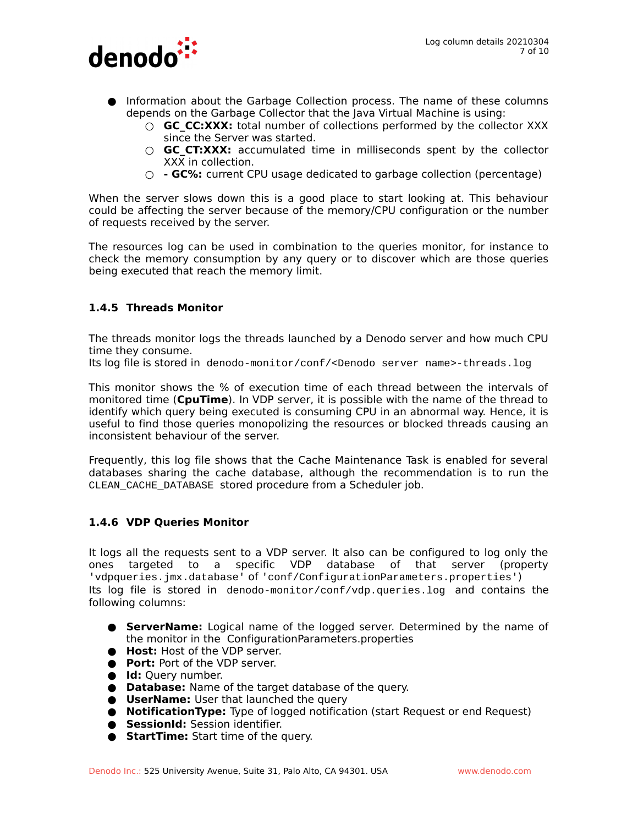

- **●** Information about the Garbage Collection process. The name of these columns depends on the Garbage Collector that the Java Virtual Machine is using:
	- **GC CC:XXX:** total number of collections performed by the collector XXX since the Server was started.
	- **GC CT:XXX:** accumulated time in milliseconds spent by the collector XXX in collection.
	- **○ GC%:** current CPU usage dedicated to garbage collection (percentage)

When the server slows down this is a good place to start looking at. This behaviour could be affecting the server because of the memory/CPU configuration or the number of requests received by the server.

The resources log can be used in combination to the queries monitor, for instance to check the memory consumption by any query or to discover which are those queries being executed that reach the memory limit.

#### **1.4.5 Threads Monitor**

The threads monitor logs the threads launched by a Denodo server and how much CPU time they consume.

Its log file is stored in denodo-monitor/conf/<Denodo server name>-threads.log

This monitor shows the % of execution time of each thread between the intervals of monitored time (**CpuTime**). In VDP server, it is possible with the name of the thread to identify which query being executed is consuming CPU in an abnormal way. Hence, it is useful to find those queries monopolizing the resources or blocked threads causing an inconsistent behaviour of the server.

Frequently, this log file shows that the Cache Maintenance Task is enabled for several databases sharing the cache database, although the recommendation is to run the CLEAN\_CACHE\_DATABASE stored procedure from a Scheduler job.

#### **1.4.6 VDP Queries Monitor**

It logs all the requests sent to a VDP server. It also can be configured to log only the ones targeted to a specific VDP database of that server (property 'vdpqueries.jmx.database' of 'conf/ConfigurationParameters.properties') Its log file is stored in denodo-monitor/conf/vdp.queries.log and contains the following columns:

- **● ServerName:** Logical name of the logged server. Determined by the name of the monitor in the ConfigurationParameters.properties
- **● Host:** Host of the VDP server.
- **● Port:** Port of the VDP server.
- **● Id:** Query number.
- **● Database:** Name of the target database of the query.
- **● UserName:** User that launched the query
- **● NotificationType:** Type of logged notification (start Request or end Request)
- **● SessionId:** Session identifier.
- **● StartTime:** Start time of the query.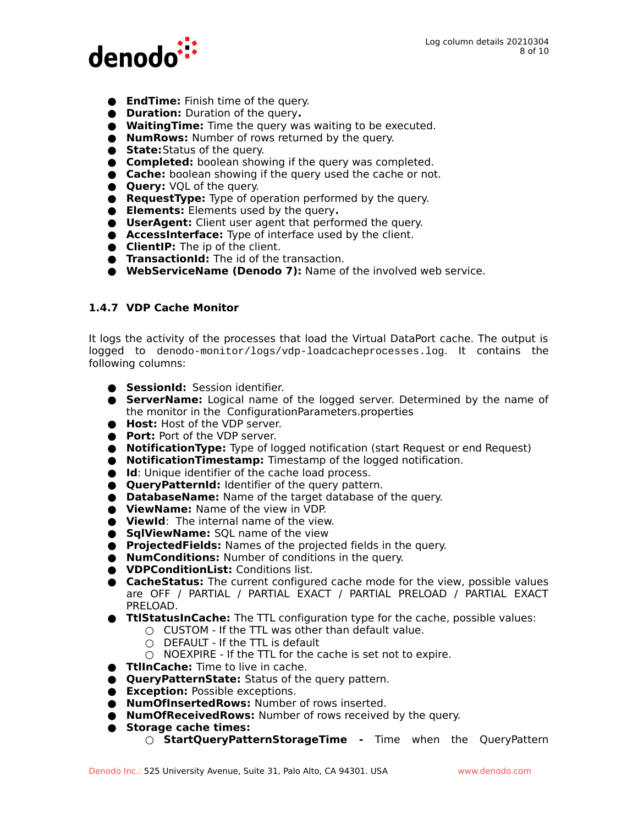

- **● EndTime:** Finish time of the query.
- **● Duration:** Duration of the query**.**
- **● WaitingTime:** Time the query was waiting to be executed.
- **● NumRows:** Number of rows returned by the query.
- **● State:**Status of the query.
- **● Completed:** boolean showing if the query was completed.
- **● Cache:** boolean showing if the query used the cache or not.
- **● Query:** VQL of the query.
- **● RequestType:** Type of operation performed by the query.
- **● Elements:** Elements used by the query**.**
- **● UserAgent:** Client user agent that performed the query.
- **● AccessInterface:** Type of interface used by the client.
- **● ClientIP:** The ip of the client.
- **● TransactionId:** The id of the transaction.
- **● WebServiceName (Denodo 7):** Name of the involved web service.

#### **1.4.7 VDP Cache Monitor**

It logs the activity of the processes that load the Virtual DataPort cache. The output is logged to denodo-monitor/logs/vdp-loadcacheprocesses.log. It contains the following columns:

- **● SessionId:** Session identifier.
- **● ServerName:** Logical name of the logged server. Determined by the name of the monitor in the ConfigurationParameters.properties
- **● Host:** Host of the VDP server.
- **● Port:** Port of the VDP server.
- **● NotificationType:** Type of logged notification (start Request or end Request)
- **● NotificationTimestamp:** Timestamp of the logged notification.
- **● Id**: Unique identifier of the cache load process.
- **● QueryPatternId:** Identifier of the query pattern.
- **● DatabaseName:** Name of the target database of the query.
- **● ViewName:** Name of the view in VDP.
- **● ViewId**: The internal name of the view.
- **● SqlViewName:** SQL name of the view
- **● ProjectedFields:** Names of the projected fields in the query.
- **● NumConditions:** Number of conditions in the query.
- **● VDPConditionList:** Conditions list.
- **● CacheStatus:** The current configured cache mode for the view, possible values are OFF / PARTIAL / PARTIAL EXACT / PARTIAL PRELOAD / PARTIAL EXACT PRELOAD.
- **● TtlStatusInCache:** The TTL configuration type for the cache, possible values:
	- **○** CUSTOM If the TTL was other than default value.
		- **○** DEFAULT If the TTL is default
	- **○** NOEXPIRE If the TTL for the cache is set not to expire.
- **● TtlInCache:** Time to live in cache.
- **● QueryPatternState:** Status of the query pattern.
- **● Exception:** Possible exceptions.
- **● NumOfInsertedRows:** Number of rows inserted.
- **● NumOfReceivedRows:** Number of rows received by the query.
- **● Storage cache times:**
	- **○ StartQueryPatternStorageTime -** Time when the QueryPattern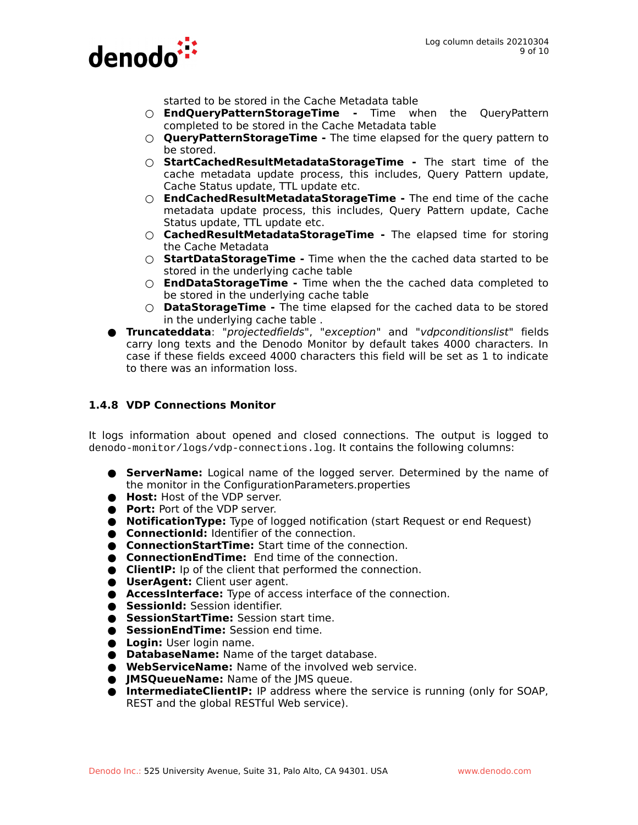

started to be stored in the Cache Metadata table

- **○ EndQueryPatternStorageTime -** Time when the QueryPattern completed to be stored in the Cache Metadata table
- **○ QueryPatternStorageTime** The time elapsed for the query pattern to be stored.
- **○ StartCachedResultMetadataStorageTime** The start time of the cache metadata update process, this includes, Query Pattern update, Cache Status update, TTL update etc.
- **○ EndCachedResultMetadataStorageTime** The end time of the cache metadata update process, this includes, Query Pattern update, Cache Status update, TTL update etc.
- **○ CachedResultMetadataStorageTime** The elapsed time for storing the Cache Metadata
- **○ StartDataStorageTime -** Time when the the cached data started to be stored in the underlying cache table
- **○ EndDataStorageTime** Time when the the cached data completed to be stored in the underlying cache table
- **○ DataStorageTime** The time elapsed for the cached data to be stored in the underlying cache table .
- **● Truncateddata**: "projectedfields", "exception" and "vdpconditionslist" fields carry long texts and the Denodo Monitor by default takes 4000 characters. In case if these fields exceed 4000 characters this field will be set as 1 to indicate to there was an information loss.

#### **1.4.8 VDP Connections Monitor**

It logs information about opened and closed connections. The output is logged to denodo-monitor/logs/vdp-connections.log. It contains the following columns:

- **● ServerName:** Logical name of the logged server. Determined by the name of the monitor in the ConfigurationParameters.properties
- **● Host:** Host of the VDP server.
- **● Port:** Port of the VDP server.
- **● NotificationType:** Type of logged notification (start Request or end Request)
- **● ConnectionId:** Identifier of the connection.
- **● ConnectionStartTime:** Start time of the connection.
- **● ConnectionEndTime:** End time of the connection.
- **● ClientIP:** Ip of the client that performed the connection.
- **● UserAgent:** Client user agent.
- **● AccessInterface:** Type of access interface of the connection.
- **● SessionId:** Session identifier.
- **● SessionStartTime:** Session start time.
- **● SessionEndTime:** Session end time.
- **● Login:** User login name.
- **● DatabaseName:** Name of the target database.
- **● WebServiceName:** Name of the involved web service.
- **● JMSQueueName:** Name of the JMS queue.
- **● IntermediateClientIP:** IP address where the service is running (only for SOAP, REST and the global RESTful Web service).